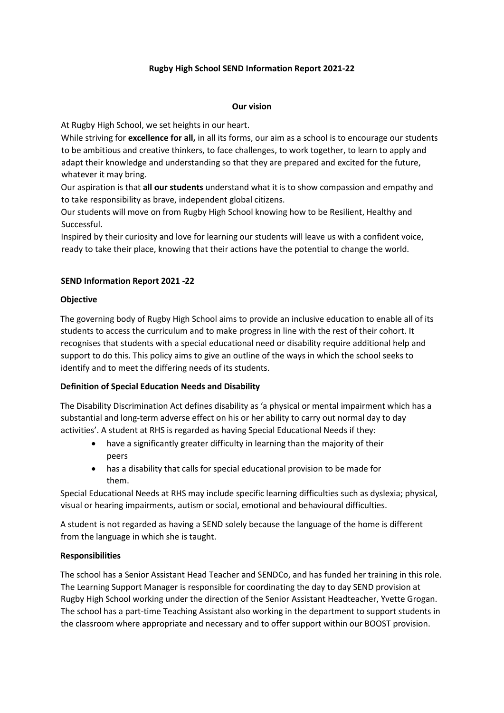# **Rugby High School SEND Information Report 2021-22**

#### **Our vision**

At Rugby High School, we set heights in our heart.

While striving for **excellence for all,** in all its forms, our aim as a school is to encourage our students to be ambitious and creative thinkers, to face challenges, to work together, to learn to apply and adapt their knowledge and understanding so that they are prepared and excited for the future, whatever it may bring.

Our aspiration is that **all our students** understand what it is to show compassion and empathy and to take responsibility as brave, independent global citizens.

Our students will move on from Rugby High School knowing how to be Resilient, Healthy and Successful.

Inspired by their curiosity and love for learning our students will leave us with a confident voice, ready to take their place, knowing that their actions have the potential to change the world.

# **SEND Information Report 2021 -22**

# **Objective**

The governing body of Rugby High School aims to provide an inclusive education to enable all of its students to access the curriculum and to make progress in line with the rest of their cohort. It recognises that students with a special educational need or disability require additional help and support to do this. This policy aims to give an outline of the ways in which the school seeks to identify and to meet the differing needs of its students.

# **Definition of Special Education Needs and Disability**

The Disability Discrimination Act defines disability as 'a physical or mental impairment which has a substantial and long-term adverse effect on his or her ability to carry out normal day to day activities'. A student at RHS is regarded as having Special Educational Needs if they:

- have a significantly greater difficulty in learning than the majority of their peers
- has a disability that calls for special educational provision to be made for them.

Special Educational Needs at RHS may include specific learning difficulties such as dyslexia; physical, visual or hearing impairments, autism or social, emotional and behavioural difficulties.

A student is not regarded as having a SEND solely because the language of the home is different from the language in which she is taught.

# **Responsibilities**

The school has a Senior Assistant Head Teacher and SENDCo, and has funded her training in this role. The Learning Support Manager is responsible for coordinating the day to day SEND provision at Rugby High School working under the direction of the Senior Assistant Headteacher, Yvette Grogan. The school has a part-time Teaching Assistant also working in the department to support students in the classroom where appropriate and necessary and to offer support within our BOOST provision.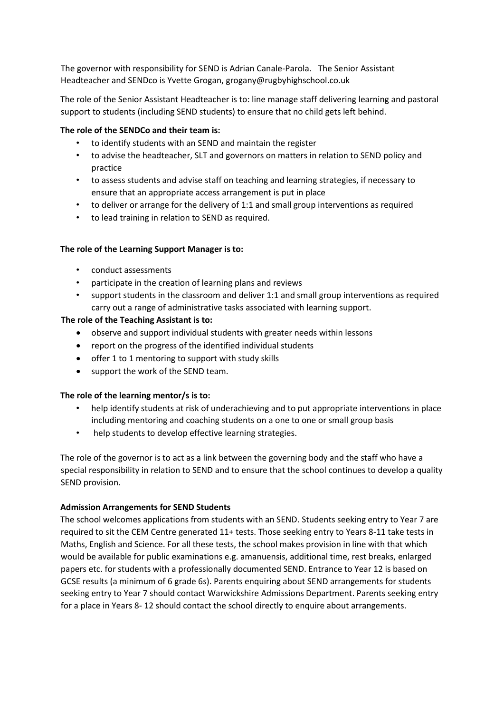The governor with responsibility for SEND is Adrian Canale-Parola. The Senior Assistant Headteacher and SENDco is Yvette Grogan, grogany@rugbyhighschool.co.uk

The role of the Senior Assistant Headteacher is to: line manage staff delivering learning and pastoral support to students (including SEND students) to ensure that no child gets left behind.

## **The role of the SENDCo and their team is:**

- to identify students with an SEND and maintain the register
- to advise the headteacher, SLT and governors on matters in relation to SEND policy and practice
- to assess students and advise staff on teaching and learning strategies, if necessary to ensure that an appropriate access arrangement is put in place
- to deliver or arrange for the delivery of 1:1 and small group interventions as required
- to lead training in relation to SEND as required.

#### **The role of the Learning Support Manager is to:**

- conduct assessments
- participate in the creation of learning plans and reviews
- support students in the classroom and deliver 1:1 and small group interventions as required carry out a range of administrative tasks associated with learning support.

### **The role of the Teaching Assistant is to:**

- observe and support individual students with greater needs within lessons
- report on the progress of the identified individual students
- offer 1 to 1 mentoring to support with study skills
- support the work of the SEND team.

#### **The role of the learning mentor/s is to:**

- help identify students at risk of underachieving and to put appropriate interventions in place including mentoring and coaching students on a one to one or small group basis
- help students to develop effective learning strategies.

The role of the governor is to act as a link between the governing body and the staff who have a special responsibility in relation to SEND and to ensure that the school continues to develop a quality SEND provision.

#### **Admission Arrangements for SEND Students**

The school welcomes applications from students with an SEND. Students seeking entry to Year 7 are required to sit the CEM Centre generated 11+ tests. Those seeking entry to Years 8-11 take tests in Maths, English and Science. For all these tests, the school makes provision in line with that which would be available for public examinations e.g. amanuensis, additional time, rest breaks, enlarged papers etc. for students with a professionally documented SEND. Entrance to Year 12 is based on GCSE results (a minimum of 6 grade 6s). Parents enquiring about SEND arrangements for students seeking entry to Year 7 should contact Warwickshire Admissions Department. Parents seeking entry for a place in Years 8- 12 should contact the school directly to enquire about arrangements.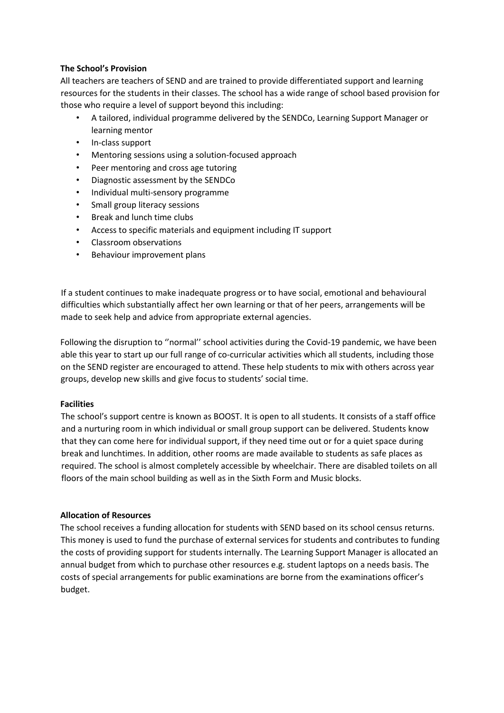## **The School's Provision**

All teachers are teachers of SEND and are trained to provide differentiated support and learning resources for the students in their classes. The school has a wide range of school based provision for those who require a level of support beyond this including:

- A tailored, individual programme delivered by the SENDCo, Learning Support Manager or learning mentor
- In-class support
- Mentoring sessions using a solution-focused approach
- Peer mentoring and cross age tutoring
- Diagnostic assessment by the SENDCo
- Individual multi-sensory programme
- Small group literacy sessions
- Break and lunch time clubs
- Access to specific materials and equipment including IT support
- Classroom observations
- Behaviour improvement plans

If a student continues to make inadequate progress or to have social, emotional and behavioural difficulties which substantially affect her own learning or that of her peers, arrangements will be made to seek help and advice from appropriate external agencies.

Following the disruption to ''normal'' school activities during the Covid-19 pandemic, we have been able this year to start up our full range of co-curricular activities which all students, including those on the SEND register are encouraged to attend. These help students to mix with others across year groups, develop new skills and give focus to students' social time.

# **Facilities**

The school's support centre is known as BOOST. It is open to all students. It consists of a staff office and a nurturing room in which individual or small group support can be delivered. Students know that they can come here for individual support, if they need time out or for a quiet space during break and lunchtimes. In addition, other rooms are made available to students as safe places as required. The school is almost completely accessible by wheelchair. There are disabled toilets on all floors of the main school building as well as in the Sixth Form and Music blocks.

# **Allocation of Resources**

The school receives a funding allocation for students with SEND based on its school census returns. This money is used to fund the purchase of external services for students and contributes to funding the costs of providing support for students internally. The Learning Support Manager is allocated an annual budget from which to purchase other resources e.g. student laptops on a needs basis. The costs of special arrangements for public examinations are borne from the examinations officer's budget.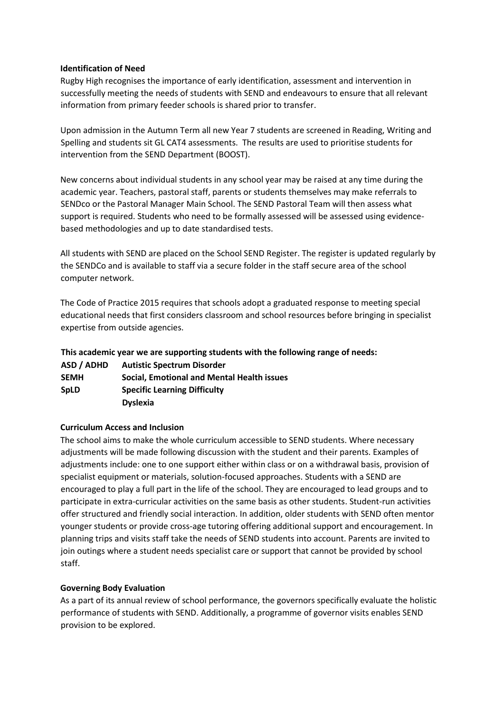#### **Identification of Need**

Rugby High recognises the importance of early identification, assessment and intervention in successfully meeting the needs of students with SEND and endeavours to ensure that all relevant information from primary feeder schools is shared prior to transfer.

Upon admission in the Autumn Term all new Year 7 students are screened in Reading, Writing and Spelling and students sit GL CAT4 assessments. The results are used to prioritise students for intervention from the SEND Department (BOOST).

New concerns about individual students in any school year may be raised at any time during the academic year. Teachers, pastoral staff, parents or students themselves may make referrals to SENDco or the Pastoral Manager Main School. The SEND Pastoral Team will then assess what support is required. Students who need to be formally assessed will be assessed using evidencebased methodologies and up to date standardised tests.

All students with SEND are placed on the School SEND Register. The register is updated regularly by the SENDCo and is available to staff via a secure folder in the staff secure area of the school computer network.

The Code of Practice 2015 requires that schools adopt a graduated response to meeting special educational needs that first considers classroom and school resources before bringing in specialist expertise from outside agencies.

**This academic year we are supporting students with the following range of needs:**

| ASD / ADHD  | <b>Autistic Spectrum Disorder</b>                 |
|-------------|---------------------------------------------------|
| <b>SEMH</b> | <b>Social, Emotional and Mental Health issues</b> |
| <b>SpLD</b> | <b>Specific Learning Difficulty</b>               |
|             | <b>Dyslexia</b>                                   |

#### **Curriculum Access and Inclusion**

The school aims to make the whole curriculum accessible to SEND students. Where necessary adjustments will be made following discussion with the student and their parents. Examples of adjustments include: one to one support either within class or on a withdrawal basis, provision of specialist equipment or materials, solution-focused approaches. Students with a SEND are encouraged to play a full part in the life of the school. They are encouraged to lead groups and to participate in extra-curricular activities on the same basis as other students. Student-run activities offer structured and friendly social interaction. In addition, older students with SEND often mentor younger students or provide cross-age tutoring offering additional support and encouragement. In planning trips and visits staff take the needs of SEND students into account. Parents are invited to join outings where a student needs specialist care or support that cannot be provided by school staff.

# **Governing Body Evaluation**

As a part of its annual review of school performance, the governors specifically evaluate the holistic performance of students with SEND. Additionally, a programme of governor visits enables SEND provision to be explored.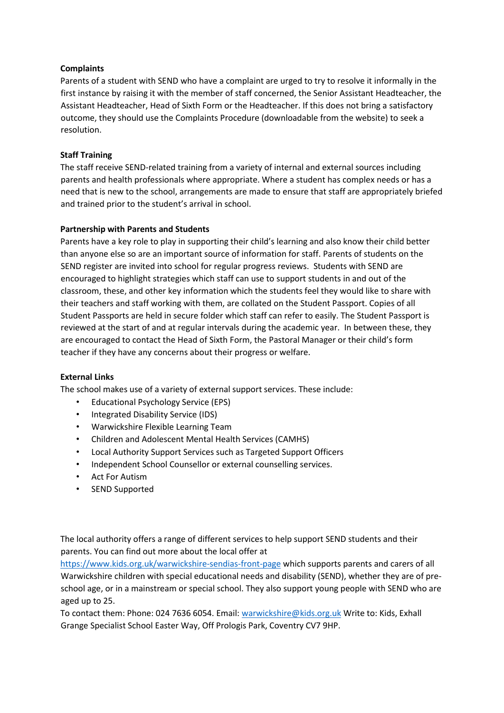## **Complaints**

Parents of a student with SEND who have a complaint are urged to try to resolve it informally in the first instance by raising it with the member of staff concerned, the Senior Assistant Headteacher, the Assistant Headteacher, Head of Sixth Form or the Headteacher. If this does not bring a satisfactory outcome, they should use the Complaints Procedure (downloadable from the website) to seek a resolution.

#### **Staff Training**

The staff receive SEND-related training from a variety of internal and external sources including parents and health professionals where appropriate. Where a student has complex needs or has a need that is new to the school, arrangements are made to ensure that staff are appropriately briefed and trained prior to the student's arrival in school.

### **Partnership with Parents and Students**

Parents have a key role to play in supporting their child's learning and also know their child better than anyone else so are an important source of information for staff. Parents of students on the SEND register are invited into school for regular progress reviews. Students with SEND are encouraged to highlight strategies which staff can use to support students in and out of the classroom, these, and other key information which the students feel they would like to share with their teachers and staff working with them, are collated on the Student Passport. Copies of all Student Passports are held in secure folder which staff can refer to easily. The Student Passport is reviewed at the start of and at regular intervals during the academic year. In between these, they are encouraged to contact the Head of Sixth Form, the Pastoral Manager or their child's form teacher if they have any concerns about their progress or welfare.

#### **External Links**

The school makes use of a variety of external support services. These include:

- Educational Psychology Service (EPS)
- Integrated Disability Service (IDS)
- Warwickshire Flexible Learning Team
- Children and Adolescent Mental Health Services (CAMHS)
- Local Authority Support Services such as Targeted Support Officers
- Independent School Counsellor or external counselling services.
- Act For Autism
- SEND Supported

The local authority offers a range of different services to help support SEND students and their parents. You can find out more about the local offer at

<https://www.kids.org.uk/warwickshire-sendias-front-page> which supports parents and carers of all Warwickshire children with special educational needs and disability (SEND), whether they are of preschool age, or in a mainstream or special school. They also support young people with SEND who are aged up to 25.

To contact them: Phone: 024 7636 6054. Email: warwickshire@kids.org.uk Write to: Kids, Exhall Grange Specialist School Easter Way, Off Prologis Park, Coventry CV7 9HP.